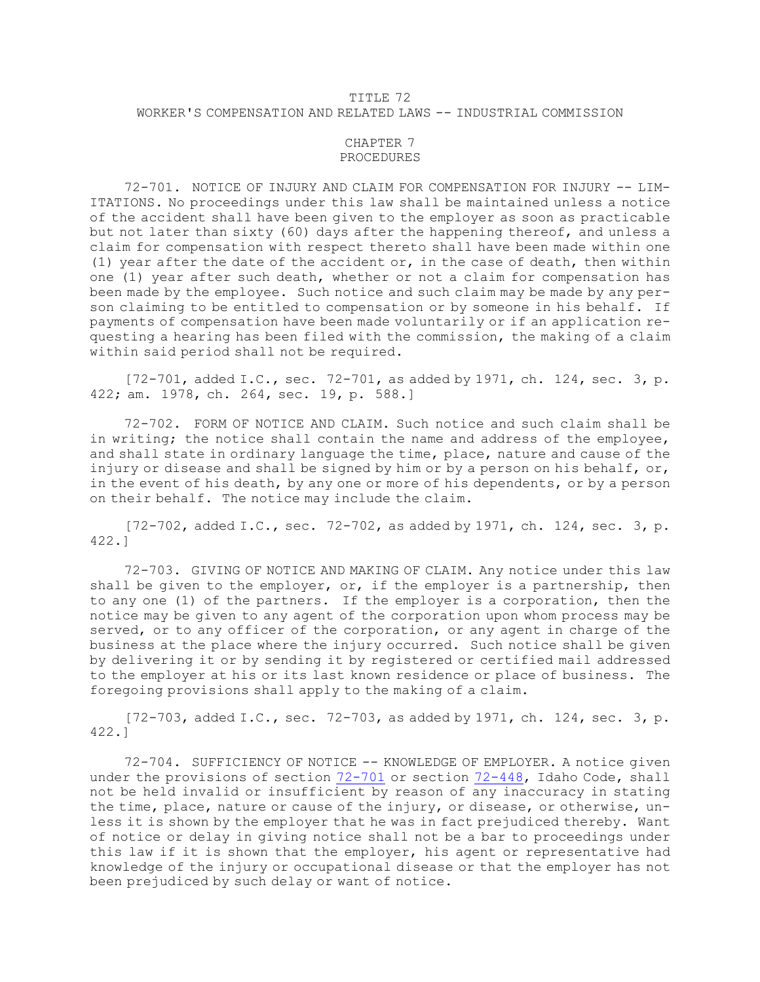## TITLE 72 WORKER'S COMPENSATION AND RELATED LAWS -- INDUSTRIAL COMMISSION

## CHAPTER 7 PROCEDURES

72-701. NOTICE OF INJURY AND CLAIM FOR COMPENSATION FOR INJURY -- LIM-ITATIONS. No proceedings under this law shall be maintained unless <sup>a</sup> notice of the accident shall have been given to the employer as soon as practicable but not later than sixty (60) days after the happening thereof, and unless <sup>a</sup> claim for compensation with respect thereto shall have been made within one (1) year after the date of the accident or, in the case of death, then within one (1) year after such death, whether or not <sup>a</sup> claim for compensation has been made by the employee. Such notice and such claim may be made by any person claiming to be entitled to compensation or by someone in his behalf. If payments of compensation have been made voluntarily or if an application requesting <sup>a</sup> hearing has been filed with the commission, the making of <sup>a</sup> claim within said period shall not be required.

 $[72-701,$  added I.C., sec.  $72-701$ , as added by 1971, ch. 124, sec. 3, p. 422; am. 1978, ch. 264, sec. 19, p. 588.]

72-702. FORM OF NOTICE AND CLAIM. Such notice and such claim shall be in writing; the notice shall contain the name and address of the employee, and shall state in ordinary language the time, place, nature and cause of the injury or disease and shall be signed by him or by a person on his behalf, or, in the event of his death, by any one or more of his dependents, or by <sup>a</sup> person on their behalf. The notice may include the claim.

 $[72-702,$  added I.C., sec.  $72-702$ , as added by 1971, ch. 124, sec. 3, p. 422.]

72-703. GIVING OF NOTICE AND MAKING OF CLAIM. Any notice under this law shall be given to the employer, or, if the employer is a partnership, then to any one (1) of the partners. If the employer is <sup>a</sup> corporation, then the notice may be given to any agent of the corporation upon whom process may be served, or to any officer of the corporation, or any agent in charge of the business at the place where the injury occurred. Such notice shall be given by delivering it or by sending it by registered or certified mail addressed to the employer at his or its last known residence or place of business. The foregoing provisions shall apply to the making of <sup>a</sup> claim.

[72-703, added I.C., sec. 72-703, as added by 1971, ch. 124, sec. 3, p. 422.]

72-704. SUFFICIENCY OF NOTICE -- KNOWLEDGE OF EMPLOYER. <sup>A</sup> notice given under the provisions of section [72-701](https://legislature.idaho.gov/statutesrules/idstat/Title72/T72CH7/SECT72-701) or section [72-448](https://legislature.idaho.gov/statutesrules/idstat/Title72/T72CH4/SECT72-448), Idaho Code, shall not be held invalid or insufficient by reason of any inaccuracy in stating the time, place, nature or cause of the injury, or disease, or otherwise, unless it is shown by the employer that he was in fact prejudiced thereby. Want of notice or delay in giving notice shall not be <sup>a</sup> bar to proceedings under this law if it is shown that the employer, his agent or representative had knowledge of the injury or occupational disease or that the employer has not been prejudiced by such delay or want of notice.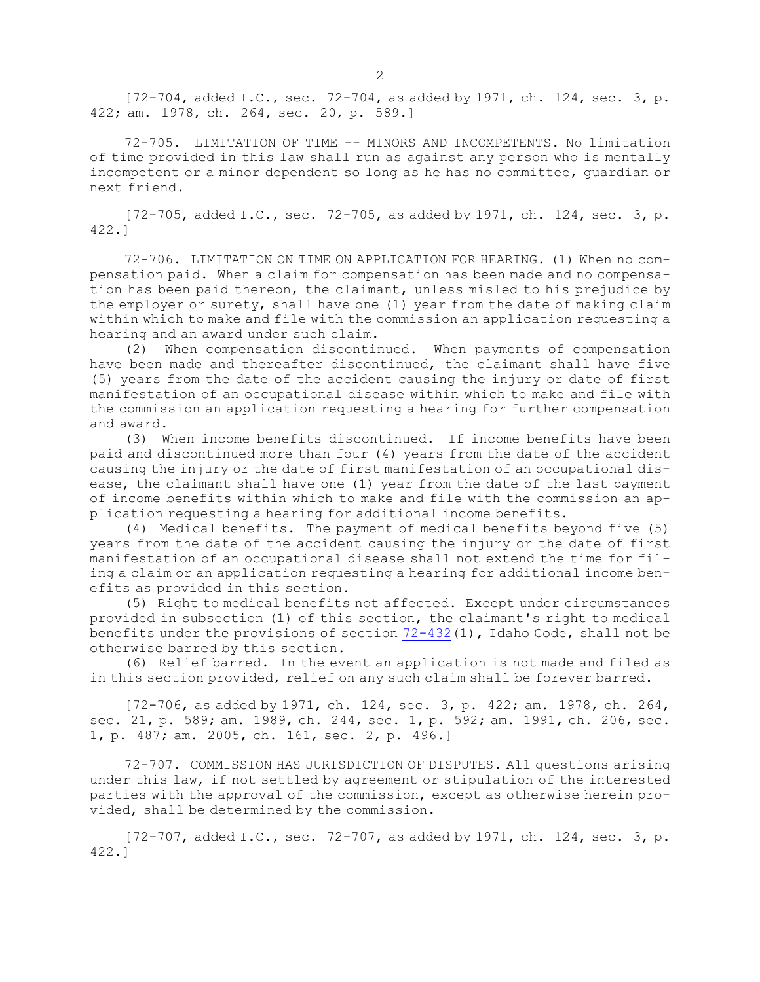[72-704, added I.C., sec. 72-704, as added by 1971, ch. 124, sec. 3, p. 422; am. 1978, ch. 264, sec. 20, p. 589.]

72-705. LIMITATION OF TIME -- MINORS AND INCOMPETENTS. No limitation of time provided in this law shall run as against any person who is mentally incompetent or <sup>a</sup> minor dependent so long as he has no committee, guardian or next friend.

[72-705, added I.C., sec. 72-705, as added by 1971, ch. 124, sec. 3, p. 422.]

72-706. LIMITATION ON TIME ON APPLICATION FOR HEARING. (1) When no compensation paid. When <sup>a</sup> claim for compensation has been made and no compensation has been paid thereon, the claimant, unless misled to his prejudice by the employer or surety, shall have one (1) year from the date of making claim within which to make and file with the commission an application requesting <sup>a</sup> hearing and an award under such claim.

(2) When compensation discontinued. When payments of compensation have been made and thereafter discontinued, the claimant shall have five (5) years from the date of the accident causing the injury or date of first manifestation of an occupational disease within which to make and file with the commission an application requesting <sup>a</sup> hearing for further compensation and award.

(3) When income benefits discontinued. If income benefits have been paid and discontinued more than four (4) years from the date of the accident causing the injury or the date of first manifestation of an occupational disease, the claimant shall have one (1) year from the date of the last payment of income benefits within which to make and file with the commission an application requesting <sup>a</sup> hearing for additional income benefits.

(4) Medical benefits. The payment of medical benefits beyond five (5) years from the date of the accident causing the injury or the date of first manifestation of an occupational disease shall not extend the time for filing <sup>a</sup> claim or an application requesting <sup>a</sup> hearing for additional income benefits as provided in this section.

(5) Right to medical benefits not affected. Except under circumstances provided in subsection (1) of this section, the claimant's right to medical benefits under the provisions of section [72-432](https://legislature.idaho.gov/statutesrules/idstat/Title72/T72CH4/SECT72-432)(1), Idaho Code, shall not be otherwise barred by this section.

(6) Relief barred. In the event an application is not made and filed as in this section provided, relief on any such claim shall be forever barred.

[72-706, as added by 1971, ch. 124, sec. 3, p. 422; am. 1978, ch. 264, sec. 21, p. 589; am. 1989, ch. 244, sec. 1, p. 592; am. 1991, ch. 206, sec. 1, p. 487; am. 2005, ch. 161, sec. 2, p. 496.]

72-707. COMMISSION HAS JURISDICTION OF DISPUTES. All questions arising under this law, if not settled by agreement or stipulation of the interested parties with the approval of the commission, except as otherwise herein provided, shall be determined by the commission.

[72-707, added I.C., sec. 72-707, as added by 1971, ch. 124, sec. 3, p. 422.]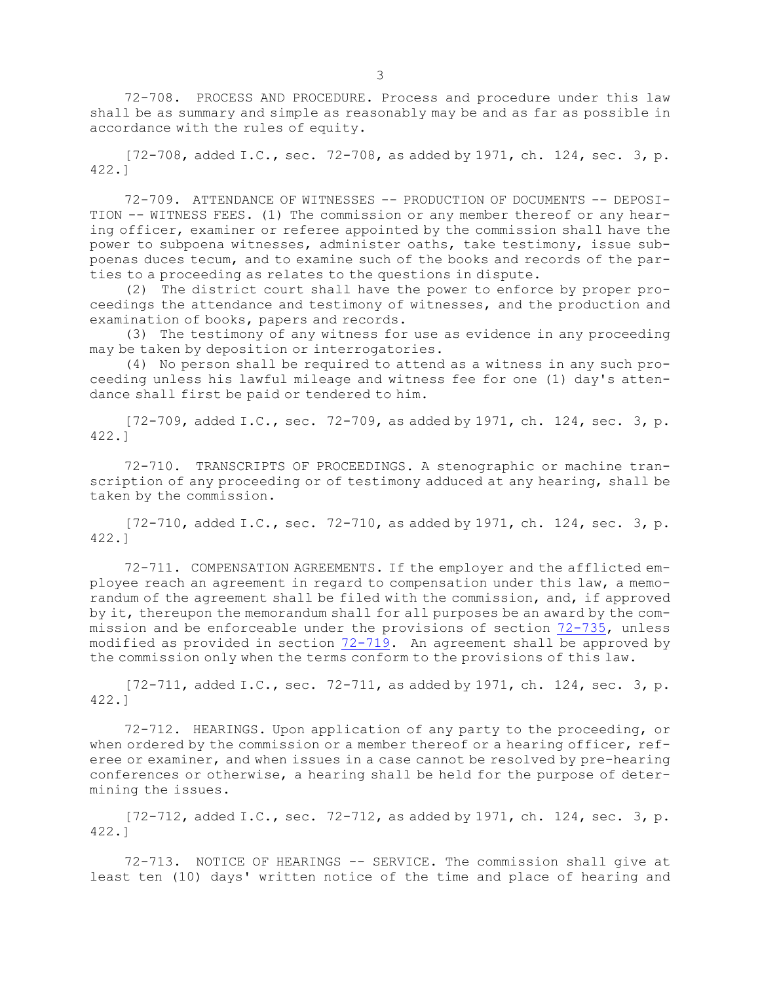72-708. PROCESS AND PROCEDURE. Process and procedure under this law shall be as summary and simple as reasonably may be and as far as possible in accordance with the rules of equity.

 $[72-708,$  added I.C., sec.  $72-708$ , as added by 1971, ch. 124, sec. 3, p. 422.]

72-709. ATTENDANCE OF WITNESSES -- PRODUCTION OF DOCUMENTS -- DEPOSI-TION -- WITNESS FEES. (1) The commission or any member thereof or any hearing officer, examiner or referee appointed by the commission shall have the power to subpoena witnesses, administer oaths, take testimony, issue subpoenas duces tecum, and to examine such of the books and records of the parties to <sup>a</sup> proceeding as relates to the questions in dispute.

(2) The district court shall have the power to enforce by proper proceedings the attendance and testimony of witnesses, and the production and examination of books, papers and records.

(3) The testimony of any witness for use as evidence in any proceeding may be taken by deposition or interrogatories.

(4) No person shall be required to attend as <sup>a</sup> witness in any such proceeding unless his lawful mileage and witness fee for one (1) day's attendance shall first be paid or tendered to him.

[72-709, added I.C., sec. 72-709, as added by 1971, ch. 124, sec. 3, p. 422.]

72-710. TRANSCRIPTS OF PROCEEDINGS. <sup>A</sup> stenographic or machine transcription of any proceeding or of testimony adduced at any hearing, shall be taken by the commission.

 $[72-710,$  added I.C., sec.  $72-710$ , as added by 1971, ch. 124, sec. 3, p. 422.]

72-711. COMPENSATION AGREEMENTS. If the employer and the afflicted employee reach an agreement in regard to compensation under this law, <sup>a</sup> memorandum of the agreement shall be filed with the commission, and, if approved by it, thereupon the memorandum shall for all purposes be an award by the commission and be enforceable under the provisions of section [72-735](https://legislature.idaho.gov/statutesrules/idstat/Title72/T72CH7/SECT72-735), unless modified as provided in section [72-719](https://legislature.idaho.gov/statutesrules/idstat/Title72/T72CH7/SECT72-719). An agreement shall be approved by the commission only when the terms conform to the provisions of this law.

 $[72-711,$  added I.C., sec.  $72-711$ , as added by 1971, ch. 124, sec. 3, p. 422.]

72-712. HEARINGS. Upon application of any party to the proceeding, or when ordered by the commission or a member thereof or a hearing officer, referee or examiner, and when issues in <sup>a</sup> case cannot be resolved by pre-hearing conferences or otherwise, <sup>a</sup> hearing shall be held for the purpose of determining the issues.

[72-712, added I.C., sec. 72-712, as added by 1971, ch. 124, sec. 3, p. 422.]

72-713. NOTICE OF HEARINGS -- SERVICE. The commission shall give at least ten (10) days' written notice of the time and place of hearing and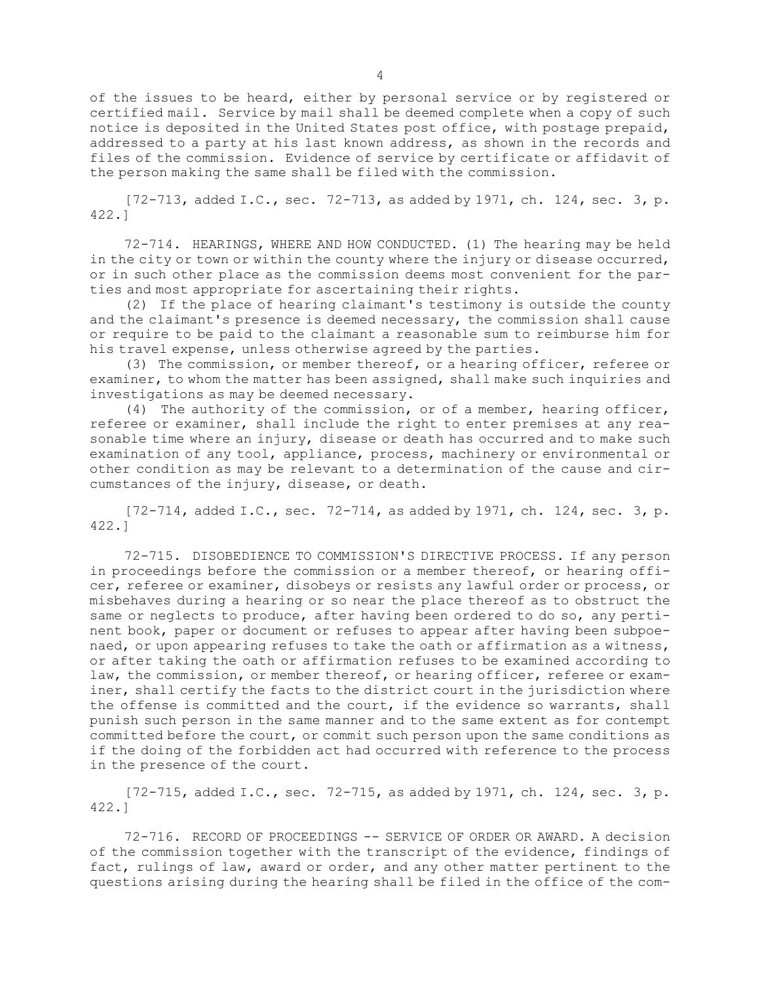of the issues to be heard, either by personal service or by registered or certified mail. Service by mail shall be deemed complete when <sup>a</sup> copy of such notice is deposited in the United States post office, with postage prepaid, addressed to <sup>a</sup> party at his last known address, as shown in the records and files of the commission. Evidence of service by certificate or affidavit of the person making the same shall be filed with the commission.

 $[72-713,$  added I.C., sec.  $72-713$ , as added by 1971, ch. 124, sec. 3, p. 422.]

72-714. HEARINGS, WHERE AND HOW CONDUCTED. (1) The hearing may be held in the city or town or within the county where the injury or disease occurred, or in such other place as the commission deems most convenient for the parties and most appropriate for ascertaining their rights.

(2) If the place of hearing claimant's testimony is outside the county and the claimant's presence is deemed necessary, the commission shall cause or require to be paid to the claimant <sup>a</sup> reasonable sum to reimburse him for his travel expense, unless otherwise agreed by the parties.

(3) The commission, or member thereof, or <sup>a</sup> hearing officer, referee or examiner, to whom the matter has been assigned, shall make such inquiries and investigations as may be deemed necessary.

(4) The authority of the commission, or of <sup>a</sup> member, hearing officer, referee or examiner, shall include the right to enter premises at any reasonable time where an injury, disease or death has occurred and to make such examination of any tool, appliance, process, machinery or environmental or other condition as may be relevant to <sup>a</sup> determination of the cause and circumstances of the injury, disease, or death.

[72-714, added I.C., sec. 72-714, as added by 1971, ch. 124, sec. 3, p. 422.]

72-715. DISOBEDIENCE TO COMMISSION'S DIRECTIVE PROCESS. If any person in proceedings before the commission or <sup>a</sup> member thereof, or hearing officer, referee or examiner, disobeys or resists any lawful order or process, or misbehaves during <sup>a</sup> hearing or so near the place thereof as to obstruct the same or neglects to produce, after having been ordered to do so, any pertinent book, paper or document or refuses to appear after having been subpoenaed, or upon appearing refuses to take the oath or affirmation as <sup>a</sup> witness, or after taking the oath or affirmation refuses to be examined according to law, the commission, or member thereof, or hearing officer, referee or examiner, shall certify the facts to the district court in the jurisdiction where the offense is committed and the court, if the evidence so warrants, shall punish such person in the same manner and to the same extent as for contempt committed before the court, or commit such person upon the same conditions as if the doing of the forbidden act had occurred with reference to the process in the presence of the court.

 $[72-715,$  added I.C., sec.  $72-715$ , as added by 1971, ch. 124, sec. 3, p. 422.]

72-716. RECORD OF PROCEEDINGS -- SERVICE OF ORDER OR AWARD. A decision of the commission together with the transcript of the evidence, findings of fact, rulings of law, award or order, and any other matter pertinent to the questions arising during the hearing shall be filed in the office of the com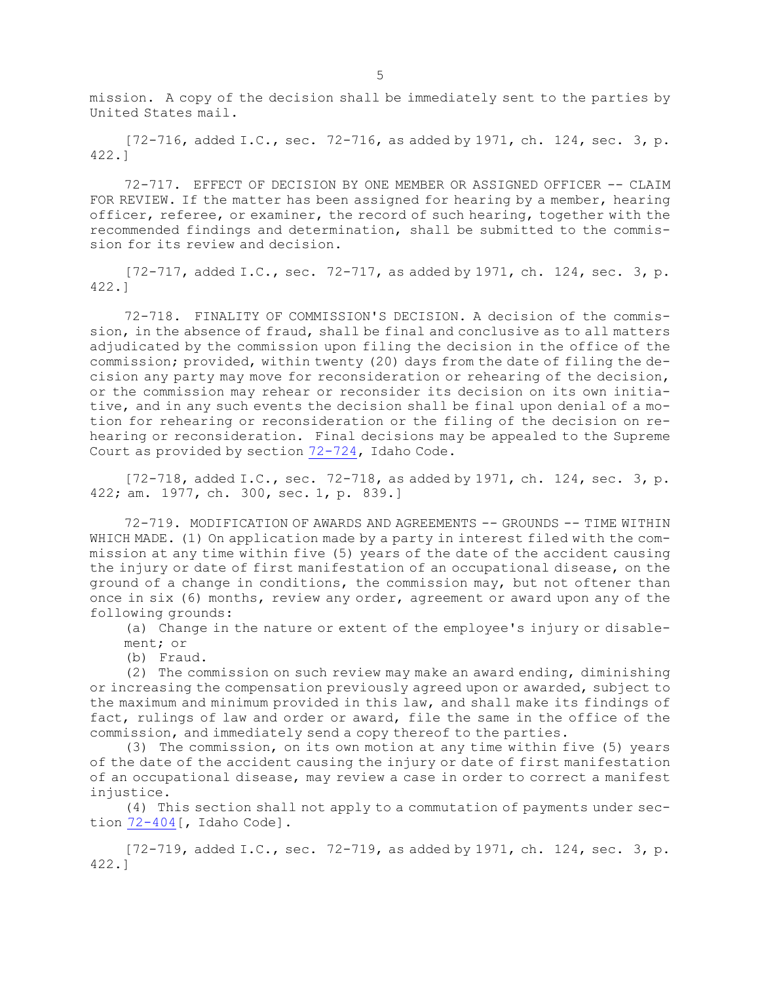mission. <sup>A</sup> copy of the decision shall be immediately sent to the parties by United States mail.

 $[72-716, \text{ added I.C., sec. } 72-716, \text{ as added by } 1971, \text{ ch. } 124, \text{ sec. } 3, \text{ p.}$ 422.]

72-717. EFFECT OF DECISION BY ONE MEMBER OR ASSIGNED OFFICER -- CLAIM FOR REVIEW. If the matter has been assigned for hearing by a member, hearing officer, referee, or examiner, the record of such hearing, together with the recommended findings and determination, shall be submitted to the commission for its review and decision.

[72-717, added I.C., sec. 72-717, as added by 1971, ch. 124, sec. 3, p. 422.]

72-718. FINALITY OF COMMISSION'S DECISION. A decision of the commission, in the absence of fraud, shall be final and conclusive as to all matters adjudicated by the commission upon filing the decision in the office of the commission; provided, within twenty (20) days from the date of filing the decision any party may move for reconsideration or rehearing of the decision, or the commission may rehear or reconsider its decision on its own initiative, and in any such events the decision shall be final upon denial of <sup>a</sup> motion for rehearing or reconsideration or the filing of the decision on rehearing or reconsideration. Final decisions may be appealed to the Supreme Court as provided by section [72-724](https://legislature.idaho.gov/statutesrules/idstat/Title72/T72CH7/SECT72-724), Idaho Code.

[72-718, added I.C., sec. 72-718, as added by 1971, ch. 124, sec. 3, p. 422; am. 1977, ch. 300, sec. 1, p. 839.]

72-719. MODIFICATION OF AWARDS AND AGREEMENTS -- GROUNDS -- TIME WITHIN WHICH MADE. (1) On application made by <sup>a</sup> party in interest filed with the commission at any time within five (5) years of the date of the accident causing the injury or date of first manifestation of an occupational disease, on the ground of <sup>a</sup> change in conditions, the commission may, but not oftener than once in six (6) months, review any order, agreement or award upon any of the following grounds:

(a) Change in the nature or extent of the employee's injury or disablement; or

(b) Fraud.

(2) The commission on such review may make an award ending, diminishing or increasing the compensation previously agreed upon or awarded, subject to the maximum and minimum provided in this law, and shall make its findings of fact, rulings of law and order or award, file the same in the office of the commission, and immediately send <sup>a</sup> copy thereof to the parties.

(3) The commission, on its own motion at any time within five (5) years of the date of the accident causing the injury or date of first manifestation of an occupational disease, may review <sup>a</sup> case in order to correct <sup>a</sup> manifest injustice.

(4) This section shall not apply to <sup>a</sup> commutation of payments under section [72-404](https://legislature.idaho.gov/statutesrules/idstat/Title72/T72CH4/SECT72-404)[, Idaho Code].

 $[72-719,$  added I.C., sec.  $72-719$ , as added by 1971, ch. 124, sec. 3, p. 422.]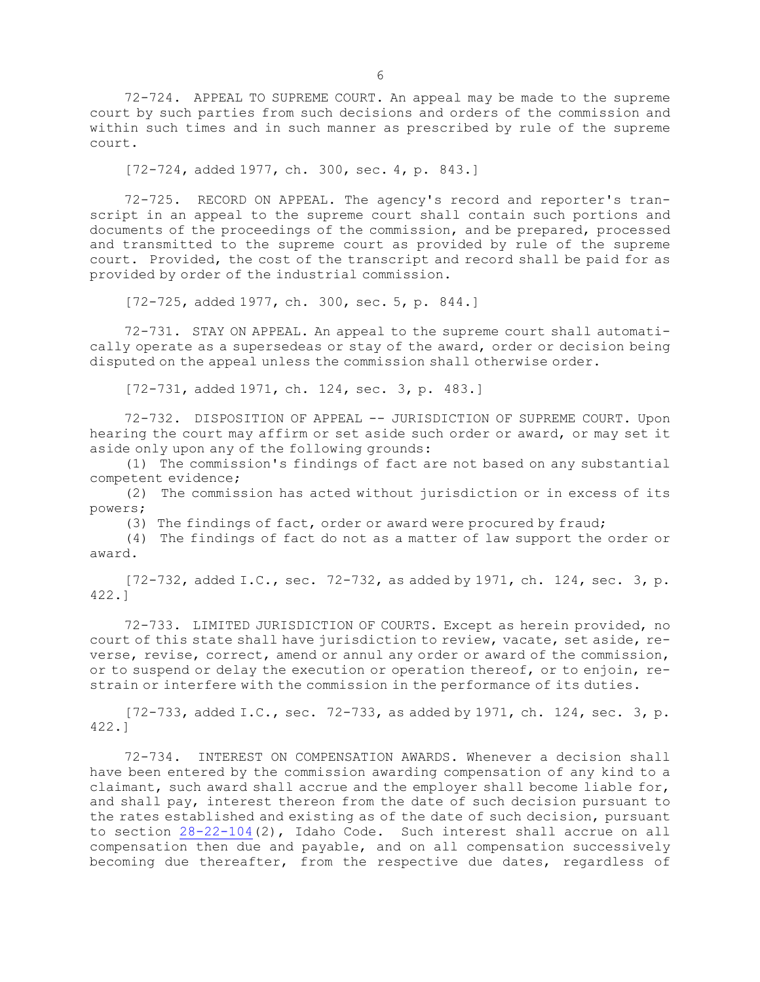72-724. APPEAL TO SUPREME COURT. An appeal may be made to the supreme court by such parties from such decisions and orders of the commission and within such times and in such manner as prescribed by rule of the supreme court.

[72-724, added 1977, ch. 300, sec. 4, p. 843.]

72-725. RECORD ON APPEAL. The agency's record and reporter's transcript in an appeal to the supreme court shall contain such portions and documents of the proceedings of the commission, and be prepared, processed and transmitted to the supreme court as provided by rule of the supreme court. Provided, the cost of the transcript and record shall be paid for as provided by order of the industrial commission.

[72-725, added 1977, ch. 300, sec. 5, p. 844.]

72-731. STAY ON APPEAL. An appeal to the supreme court shall automatically operate as <sup>a</sup> supersedeas or stay of the award, order or decision being disputed on the appeal unless the commission shall otherwise order.

[72-731, added 1971, ch. 124, sec. 3, p. 483.]

72-732. DISPOSITION OF APPEAL -- JURISDICTION OF SUPREME COURT. Upon hearing the court may affirm or set aside such order or award, or may set it aside only upon any of the following grounds:

(1) The commission's findings of fact are not based on any substantial competent evidence;

(2) The commission has acted without jurisdiction or in excess of its powers;

(3) The findings of fact, order or award were procured by fraud;

(4) The findings of fact do not as <sup>a</sup> matter of law support the order or award.

[72-732, added I.C., sec. 72-732, as added by 1971, ch. 124, sec. 3, p. 422.]

72-733. LIMITED JURISDICTION OF COURTS. Except as herein provided, no court of this state shall have jurisdiction to review, vacate, set aside, reverse, revise, correct, amend or annul any order or award of the commission, or to suspend or delay the execution or operation thereof, or to enjoin, restrain or interfere with the commission in the performance of its duties.

[72-733, added I.C., sec. 72-733, as added by 1971, ch. 124, sec. 3, p. 422.]

72-734. INTEREST ON COMPENSATION AWARDS. Whenever <sup>a</sup> decision shall have been entered by the commission awarding compensation of any kind to <sup>a</sup> claimant, such award shall accrue and the employer shall become liable for, and shall pay, interest thereon from the date of such decision pursuant to the rates established and existing as of the date of such decision, pursuant to section  $28-22-104(2)$  $28-22-104(2)$ , Idaho Code. Such interest shall accrue on all compensation then due and payable, and on all compensation successively becoming due thereafter, from the respective due dates, regardless of